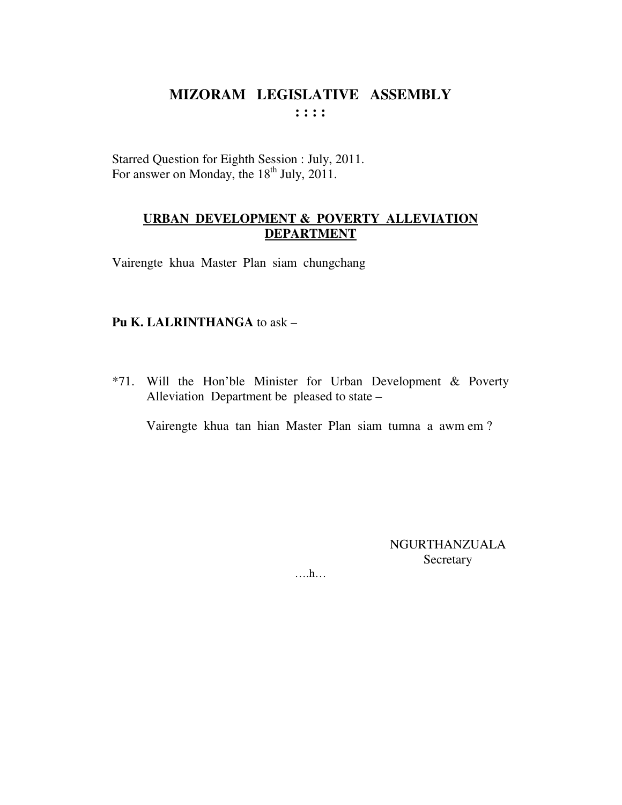Starred Question for Eighth Session : July, 2011. For answer on Monday, the 18<sup>th</sup> July, 2011.

#### **URBAN DEVELOPMENT & POVERTY ALLEVIATION DEPARTMENT**

Vairengte khua Master Plan siam chungchang

#### Pu K. LALRINTHANGA to ask -

\*71. Will the Hon'ble Minister for Urban Development & Poverty Alleviation Department be pleased to state –

Vairengte khua tan hian Master Plan siam tumna a awm em?

**NGURTHANZUALA** Secretary

 $\dots h\dots$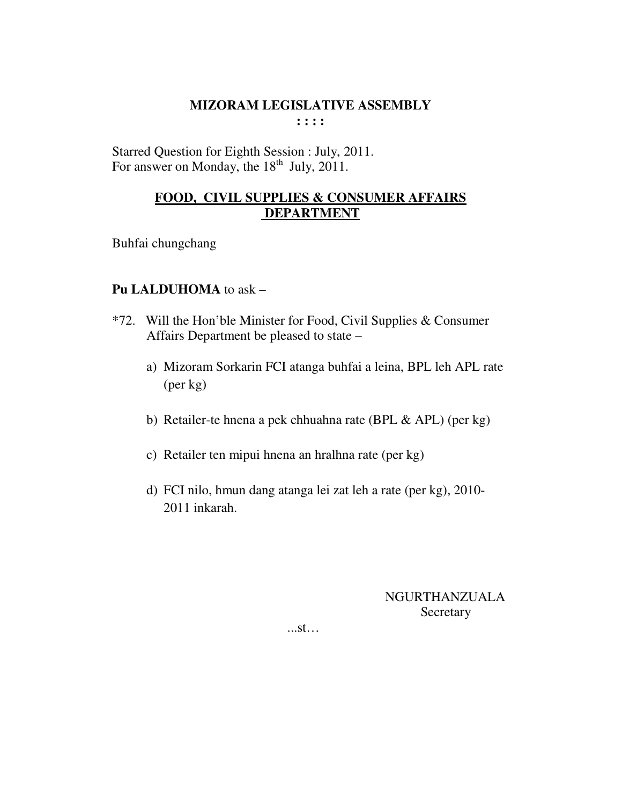Starred Question for Eighth Session : July, 2011. For answer on Monday, the  $18^{th}$  July, 2011.

## **FOOD, CIVIL SUPPLIES & CONSUMER AFFAIRS DEPARTMENT**

Buhfai chungchang

## **Pu LALDUHOMA** to ask –

- \*72. Will the Hon'ble Minister for Food, Civil Supplies & Consumer Affairs Department be pleased to state –
	- a) Mizoram Sorkarin FCI atanga buhfai a leina, BPL leh APL rate (per kg)
	- b) Retailer-te hnena a pek chhuahna rate (BPL & APL) (per kg)
	- c) Retailer ten mipui hnena an hralhna rate (per kg)
	- d) FCI nilo, hmun dang atanga lei zat leh a rate (per kg), 2010- 2011 inkarah.

 NGURTHANZUALA Secretary

...st…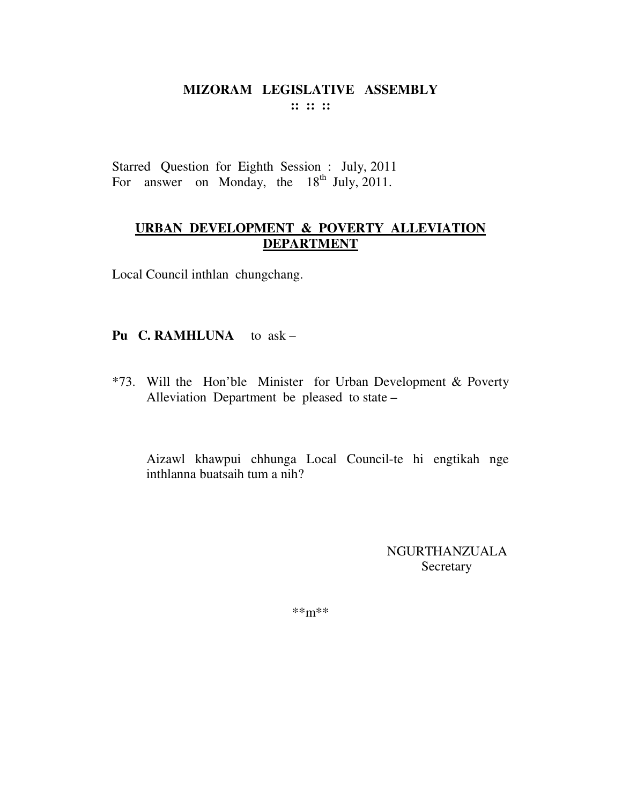Starred Question for Eighth Session : July, 2011 For answer on Monday, the  $18<sup>th</sup>$  July, 2011.

## URBAN DEVELOPMENT & POVERTY ALLEVIATION **DEPARTMENT**

Local Council inthlan chungchang.

## Pu C. RAMHLUNA to ask -

\*73. Will the Hon'ble Minister for Urban Development & Poverty Alleviation Department be pleased to state –

Aizawl khawpui chhunga Local Council-te hi engtikah nge inthlanna buatsaih tum a nih?

> NGURTHANZUALA Secretary

 $***m***$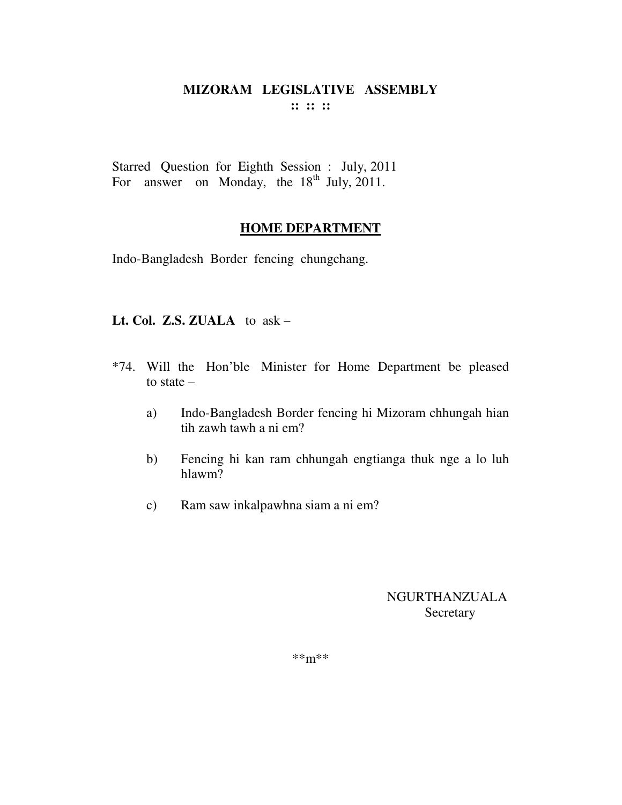Starred Question for Eighth Session : July, 2011 For answer on Monday, the  $18<sup>th</sup>$  July, 2011.

## **HOME DEPARTMENT**

Indo-Bangladesh Border fencing chungchang.

#### **Lt. Col. Z.S. ZUALA** to ask –

- \*74. Will the Hon'ble Minister for Home Department be pleased to state –
	- a) Indo-Bangladesh Border fencing hi Mizoram chhungah hian tih zawh tawh a ni em?
	- b) Fencing hi kan ram chhungah engtianga thuk nge a lo luh hlawm?
	- c) Ram saw inkalpawhna siam a ni em?

## NGURTHANZUALA Secretary

\*\*m\*\*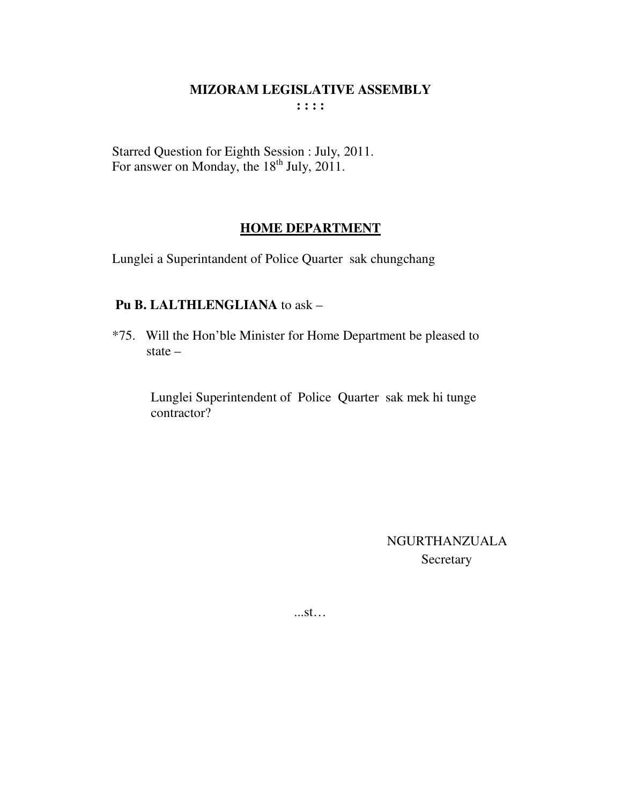Starred Question for Eighth Session : July, 2011.<br>For answer on Monday, the 18<sup>th</sup> July, 2011.

## **HOME DEPARTMENT**

Lunglei a Superintandent of Police Quarter sak chungchang

#### Pu B. LALTHLENGLIANA to ask -

\*75. Will the Hon'ble Minister for Home Department be pleased to state  $-$ 

> Lunglei Superintendent of Police Quarter sak mek hi tunge contractor?

> > **NGURTHANZUALA** Secretary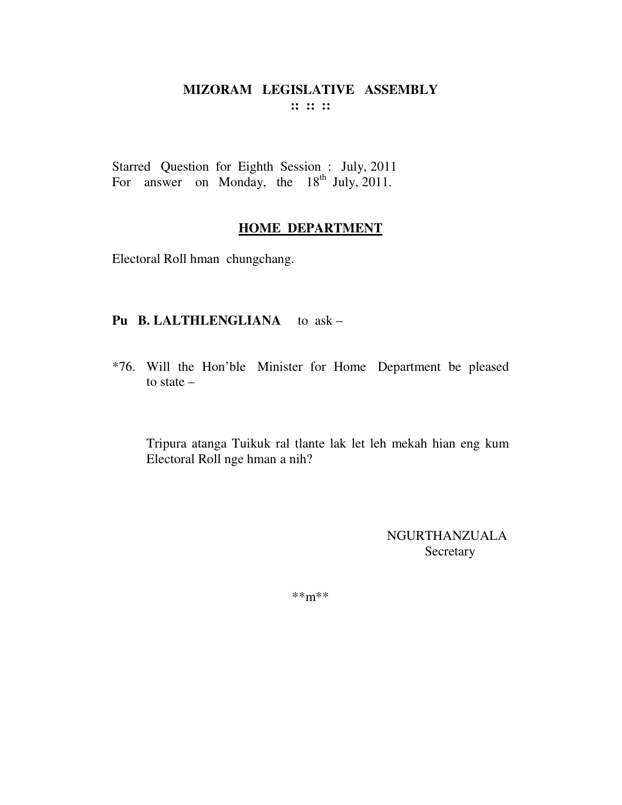Starred Question for Eighth Session : July, 2011 For answer on Monday, the 18<sup>th</sup> July, 2011.

## **HOME DEPARTMENT**

Electoral Roll hman chungchang.

## **Pu B. LALTHLENGLIANA** to ask –

\*76. Will the Hon'ble Minister for Home Department be pleased to state –

 Tripura atanga Tuikuk ral tlante lak let leh mekah hian eng kum Electoral Roll nge hman a nih?

> NGURTHANZUALA Secretary

\*\*m\*\*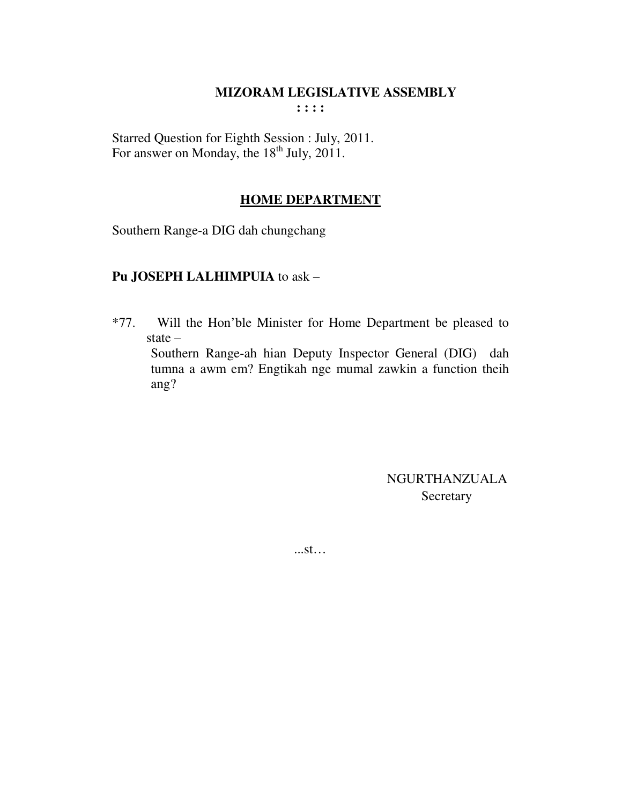Starred Question for Eighth Session : July, 2011. For answer on Monday, the 18<sup>th</sup> July, 2011.

## **HOME DEPARTMENT**

Southern Range-a DIG dah chungchang

## Pu JOSEPH LALHIMPUIA to ask -

 $*77.$ Will the Hon'ble Minister for Home Department be pleased to state  $-$ 

Southern Range-ah hian Deputy Inspector General (DIG) dah tumna a awm em? Engtikah nge mumal zawkin a function theih ang?

> NGURTHANZUALA Secretary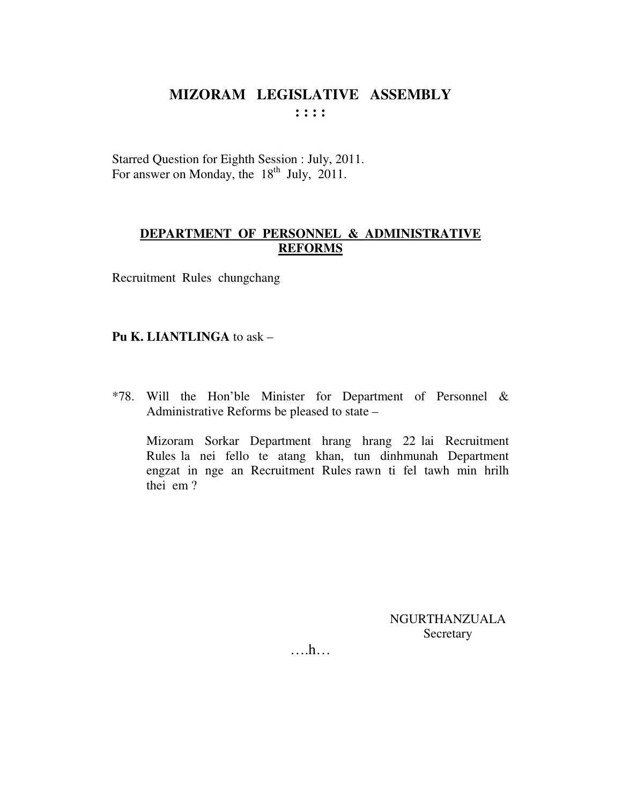Starred Question for Eighth Session : July, 2011. For answer on Monday, the  $18<sup>th</sup>$  July, 2011.

#### DEPARTMENT OF PERSONNEL & ADMINISTRATIVE **REFORMS**

Recruitment Rules chungchang

#### Pu K. LIANTLINGA to ask -

\*78. Will the Hon'ble Minister for Department of Personnel & Administrative Reforms be pleased to state –

Mizoram Sorkar Department hrang hrang 22 lai Recruitment Rules la nei fello te atang khan, tun dinhmunah Department engzat in nge an Recruitment Rules rawn ti fel tawh min hrilh thei em?

> **NGURTHANZUALA** Secretary

 $\dots h\dots$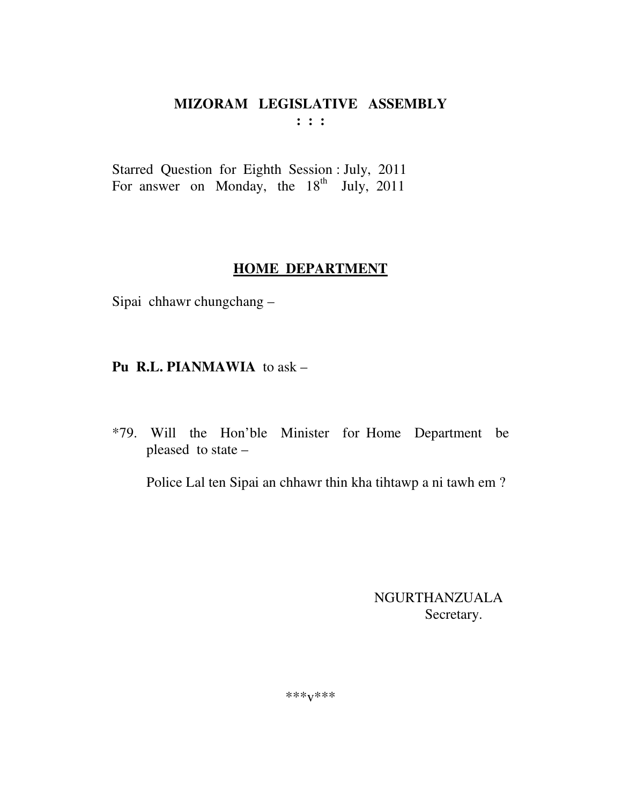# **MIZORAM LEGISLATIVE ASSEMBLY**

**: : :** 

Starred Question for Eighth Session : July, 2011 For answer on Monday, the  $18<sup>th</sup>$  July, 2011

# **HOME DEPARTMENT**

Sipai chhawr chungchang –

# **Pu R.L. PIANMAWIA** to ask –

\*79. Will the Hon'ble Minister for Home Department be pleased to state –

Police Lal ten Sipai an chhawr thin kha tihtawp a ni tawh em ?

 NGURTHANZUALA Secretary.

\*\*\*v\*\*\*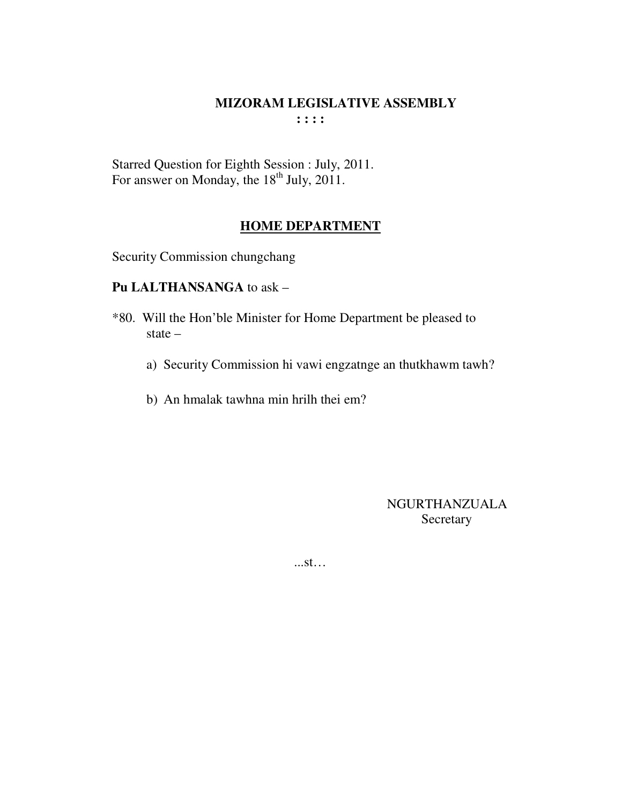Starred Question for Eighth Session : July, 2011.<br>For answer on Monday, the 18<sup>th</sup> July, 2011.

## **HOME DEPARTMENT**

Security Commission chungchang

#### Pu LALTHANSANGA to ask -

- \*80. Will the Hon'ble Minister for Home Department be pleased to state  $$ 
	- a) Security Commission hi vawi engzatnge an thutkhawm tawh?
	- b) An hmalak tawhna min hrilh thei em?

NGURTHANZUALA Secretary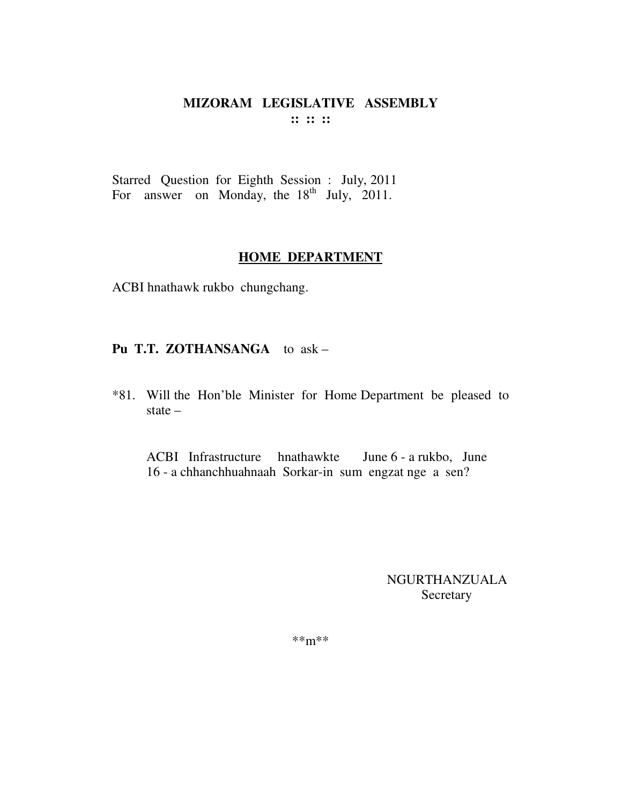#### MIZORAM LEGISLATIVE ASSEMBLY  $\mathbf{11} \mathbf{11} \mathbf{11}$

Starred Question for Eighth Session : July, 2011 For answer on Monday, the  $18<sup>th</sup>$  July, 2011.

#### **HOME DEPARTMENT**

ACBI hnathawk rukbo chungchang.

## Pu T.T. ZOTHANSANGA to ask -

\*81. Will the Hon'ble Minister for Home Department be pleased to state  $-$ 

ACBI Infrastructure hnathawkte June 6 - a rukbo, June 16 - a chhanchhuahnaah Sorkar-in sum engzat nge a sen?

> NGURTHANZUALA Secretary

 $***m***$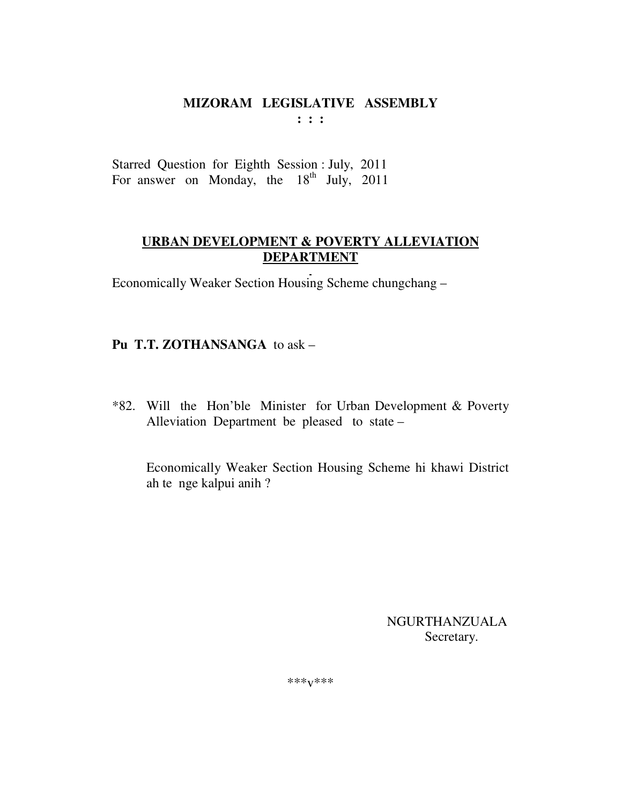# MIZORAM LEGISLATIVE ASSEMBLY

 $: : :$ 

Starred Question for Eighth Session : July, 2011 For answer on Monday, the 18<sup>th</sup> July, 2011

## **URBAN DEVELOPMENT & POVERTY ALLEVIATION DEPARTMENT**

Economically Weaker Section Housing Scheme chungchang –

# Pu T.T. ZOTHANSANGA to ask -

\*82. Will the Hon'ble Minister for Urban Development & Poverty Alleviation Department be pleased to state -

Economically Weaker Section Housing Scheme hi khawi District ah te nge kalpui anih?

> **NGURTHANZUALA** Secretary.

\*\*\* $V$ \*\*\*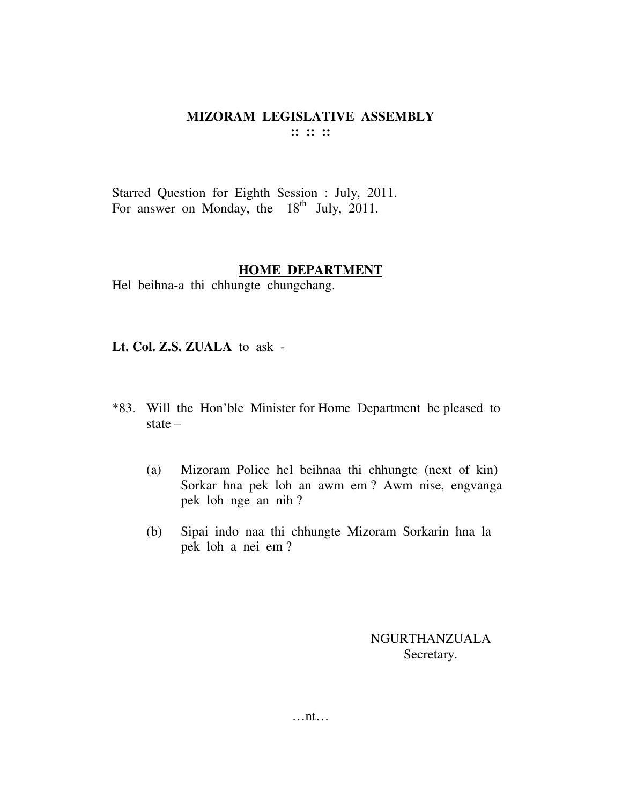Starred Question for Eighth Session : July, 2011. For answer on Monday, the  $18<sup>th</sup>$  July, 2011.

#### **HOME DEPARTMENT**

Hel beihna-a thi chhungte chungchang.

**Lt. Col. Z.S. ZUALA** to ask -

- \*83. Will the Hon'ble Minister for Home Department be pleased to state –
	- (a) Mizoram Police hel beihnaa thi chhungte (next of kin) Sorkar hna pek loh an awm em ? Awm nise, engvanga pek loh nge an nih ?
	- (b) Sipai indo naa thi chhungte Mizoram Sorkarin hna la pek loh a nei em ?

NGURTHANZUALA Secretary.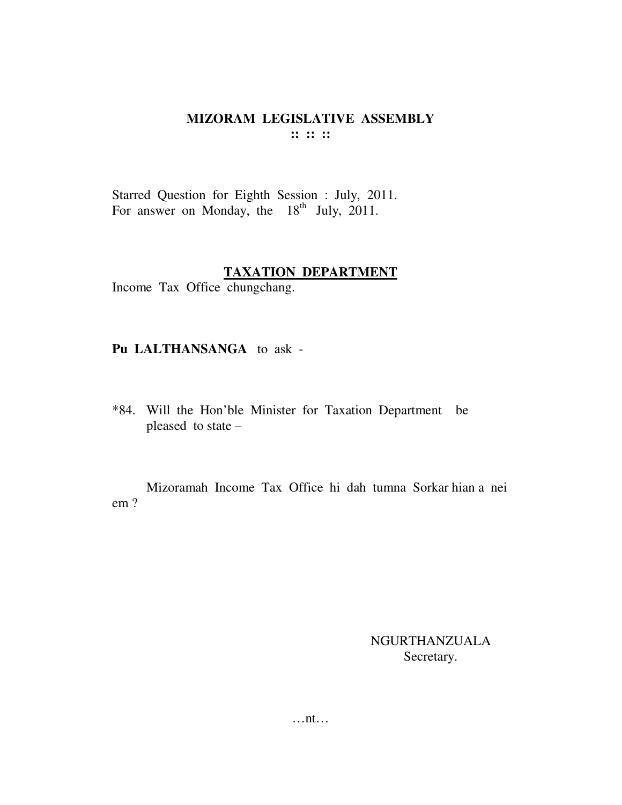Starred Question for Eighth Session : July, 2011.<br>For answer on Monday, the 18<sup>th</sup> July, 2011.

#### **TAXATION DEPARTMENT**

Income Tax Office chungchang.

## Pu LALTHANSANGA to ask -

\*84. Will the Hon'ble Minister for Taxation Department be pleased to state -

Mizoramah Income Tax Office hi dah tumna Sorkar hian a nei  $em$ ?

> NGURTHANZUALA Secretary.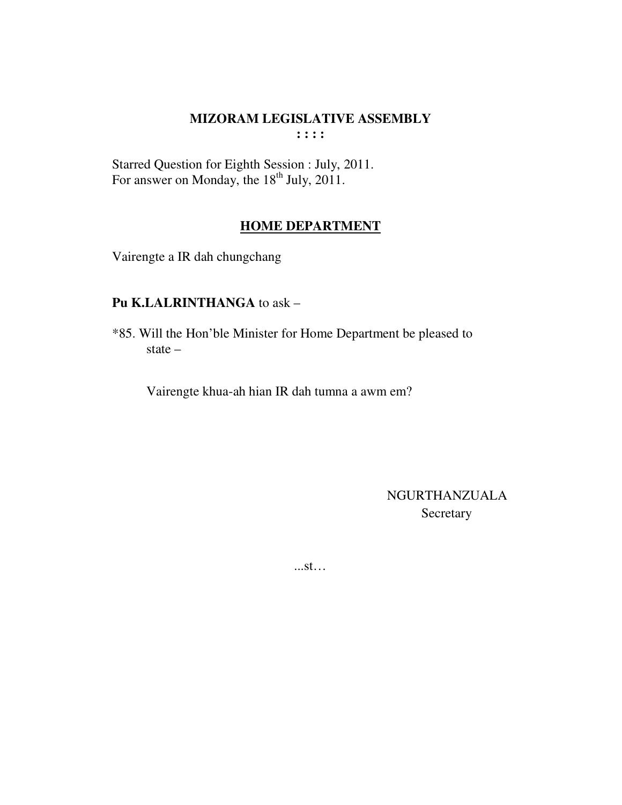#### **MIZORAM LEGISLATIVE ASSEMBLY**  $\cdots$

Starred Question for Eighth Session : July, 2011.<br>For answer on Monday, the 18<sup>th</sup> July, 2011.

## **HOME DEPARTMENT**

Vairengte a IR dah chungchang

## Pu K.LALRINTHANGA to ask -

\*85. Will the Hon'ble Minister for Home Department be pleased to state  $-$ 

Vairengte khua-ah hian IR dah tumna a awm em?

**NGURTHANZUALA** Secretary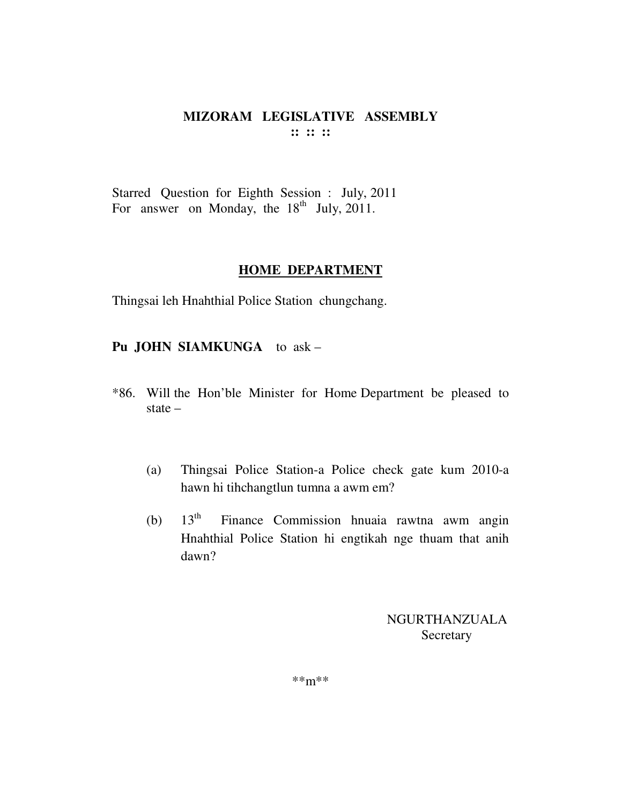Starred Question for Eighth Session : July, 2011 For answer on Monday, the  $18<sup>th</sup>$  July, 2011.

#### **HOME DEPARTMENT**

Thingsai leh Hnahthial Police Station chungchang.

#### **Pu JOHN SIAMKUNGA** to ask –

- \*86. Will the Hon'ble Minister for Home Department be pleased to state –
	- (a) Thingsai Police Station-a Police check gate kum 2010-a hawn hi tihchangtlun tumna a awm em?
	- (b)  $13<sup>th</sup>$  Finance Commission hnuaia rawtna awm angin Hnahthial Police Station hi engtikah nge thuam that anih dawn?

NGURTHANZUALA Secretary

\*\*m\*\*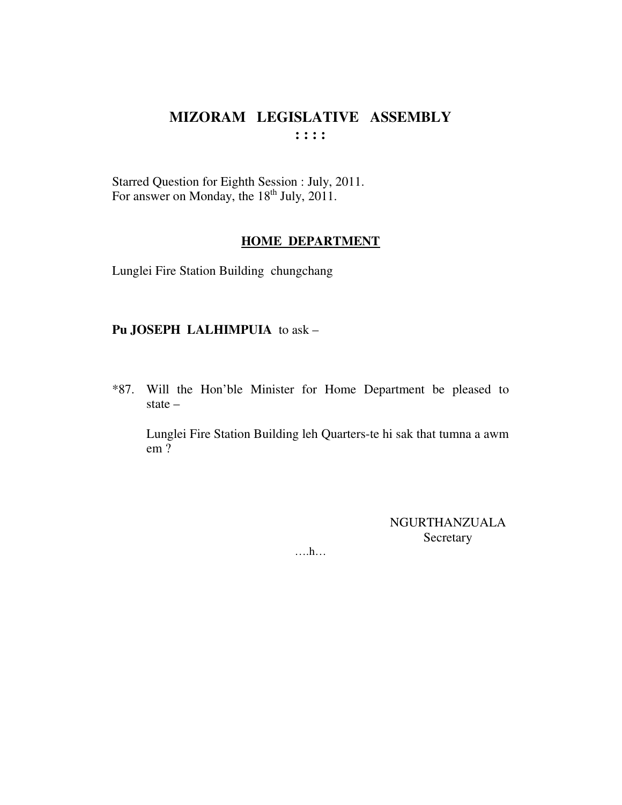Starred Question for Eighth Session : July, 2011. For answer on Monday, the 18<sup>th</sup> July, 2011.

#### **HOME DEPARTMENT**

Lunglei Fire Station Building chungchang

## Pu JOSEPH LALHIMPUIA to ask -

\*87. Will the Hon'ble Minister for Home Department be pleased to state  $-$ 

Lunglei Fire Station Building leh Quarters-te hi sak that tumna a awm  $em?$ 

> **NGURTHANZUALA** Secretary

 $\dots h\dots$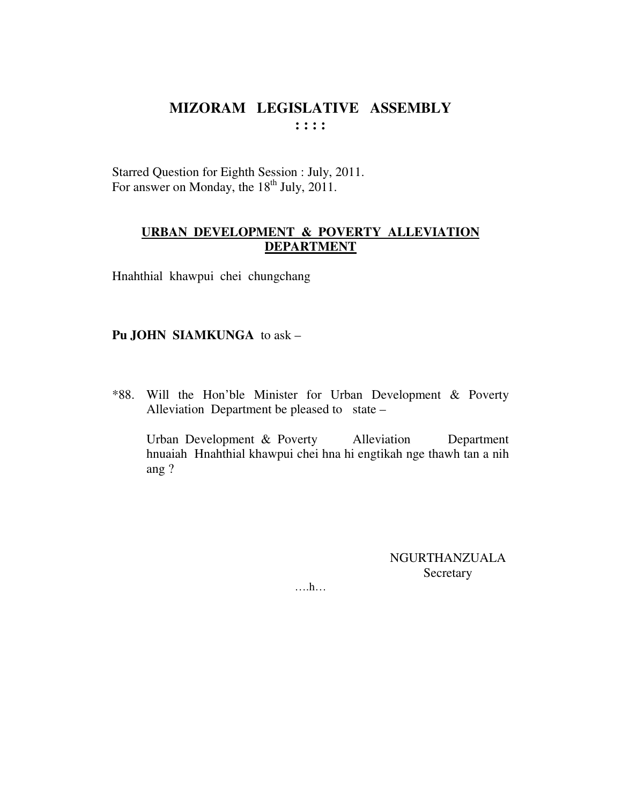Starred Question for Eighth Session : July, 2011. For answer on Monday, the  $18<sup>th</sup>$  July, 2011.

#### **URBAN DEVELOPMENT & POVERTY ALLEVIATION DEPARTMENT**

Hnahthial khawpui chei chungchang

#### **Pu JOHN SIAMKUNGA** to ask –

\*88. Will the Hon'ble Minister for Urban Development & Poverty Alleviation Department be pleased to state –

 Urban Development & Poverty Alleviation Department hnuaiah Hnahthial khawpui chei hna hi engtikah nge thawh tan a nih ang ?

> NGURTHANZUALA Secretary

….h…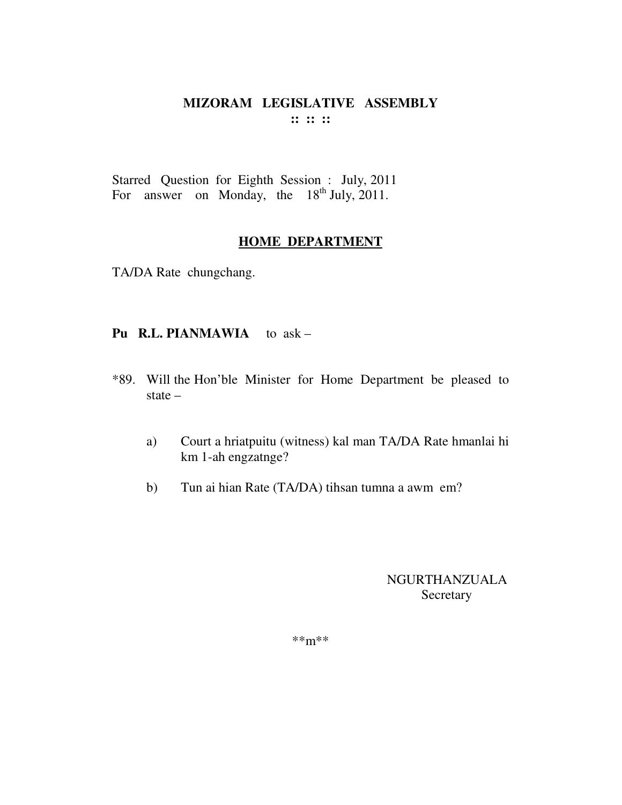#### MIZORAM LEGISLATIVE ASSEMBLY  $\cdots$   $\cdots$   $\cdots$

Starred Question for Eighth Session : July, 2011 For answer on Monday, the 18<sup>th</sup> July, 2011.

#### **HOME DEPARTMENT**

TA/DA Rate chungchang.

#### Pu R.L. PIANMAWIA to ask -

- \*89. Will the Hon'ble Minister for Home Department be pleased to state  $-$ 
	- Court a hriatpuitu (witness) kal man TA/DA Rate hmanlai hi a) km 1-ah engzatnge?
	- Tun ai hian Rate (TA/DA) tihsan tumna a awm em?  $b)$

## **NGURTHANZUALA** Secretary

 $***m***$